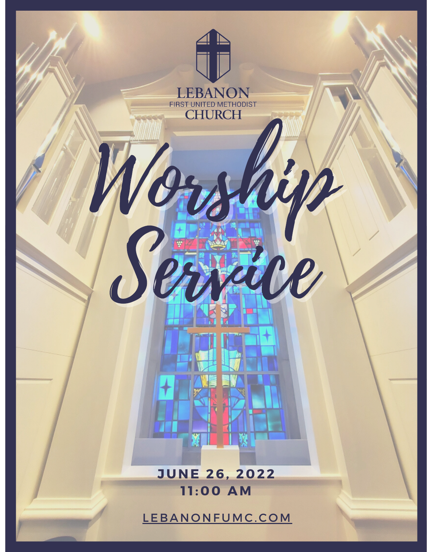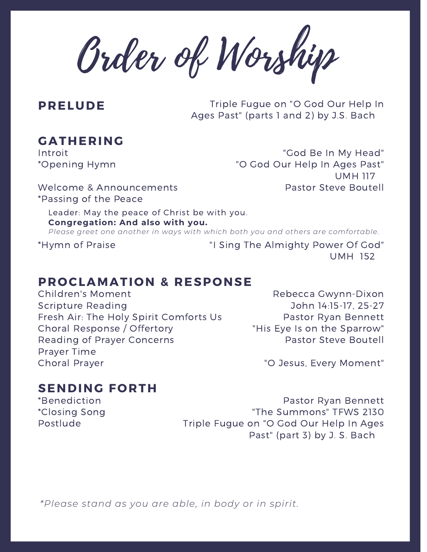Order of Worship

**PRELUDE** Triple Fugue on "O God Our Help In Ages Past" (parts 1 and 2) by J.S. Bach

### **GATHERING**

Introit \*Opening Hymn

"God Be In My Head" "O God Our Help In Ages Past" UMH 117 Pastor Steve Boutell

Welcome & Announcements \*Passing of the Peace

Leader: May the peace of Christ be with you. **Congregation: And also with you.** *Please greet one another in ways with which both you and others are comfortable.*

\*Hymn of Praise

"I Sing The Almighty Power Of God" UMH 152

#### **PROCLAMATION & RESPONSE**

Children's Moment Scripture Reading Fresh Air: The Holy Spirit Comforts Us Choral Response / Offertory Reading of Prayer Concerns Prayer Time Choral Prayer

Rebecca Gwynn-Dixon John 14:15-17, 25-27 Pastor Ryan Bennett "His Eye Is on the Sparrow" Pastor Steve Boutell

"O Jesus, Every Moment"

#### **SENDING FORTH**

\*Benediction \*Closing Song Postlude

Pastor Ryan Bennett "The Summons" TFWS 2130 Triple Fugue on "O God Our Help In Ages Past" (part 3) by J. S. Bach

*\*Please stand as you are able, in body or in spirit.*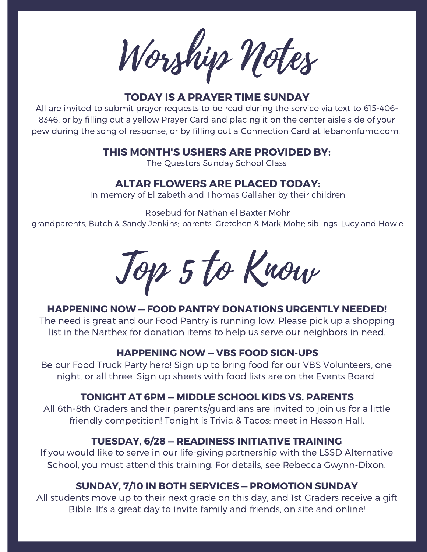Worship Notes

#### **TODAY IS A PRAYER TIME SUNDAY**

All are invited to submit prayer requests to be read during the service via text to 615-406- 8346, or by filling out a yellow Prayer Card and placing it on the center aisle side of your pew during the song of response, or by filling out a Connection Card at lebanonfumc.com.

#### **THIS MONTH'S USHERS ARE PROVIDED BY:**

The Questors Sunday School Class

#### **ALTAR FLOWERS ARE PLACED TODAY:**

In memory of Elizabeth and Thomas Gallaher by their children

Rosebud for Nathaniel Baxter Mohr

grandparents, Butch & Sandy Jenkins; parents, Gretchen & Mark Mohr; siblings, Lucy and Howie

Top 5 to Know

#### **HAPPENING NOW — FOOD PANTRY DONATIONS URGENTLY NEEDED!**

The need is great and our Food Pantry is running low. Please pick up a shopping list in the Narthex for donation items to help us serve our neighbors in need.

#### **HAPPENING NOW — VBS FOOD SIGN-UPS**

Be our Food Truck Party hero! Sign up to bring food for our VBS Volunteers, one night, or all three. Sign up sheets with food lists are on the Events Board.

#### **TONIGHT AT 6PM — MIDDLE SCHOOL KIDS VS. PARENTS**

All 6th-8th Graders and their parents/guardians are invited to join us for a little friendly competition! Tonight is Trivia & Tacos; meet in Hesson Hall.

#### **TUESDAY, 6/28 — READINESS INITIATIVE TRAINING**

If you would like to serve in our life-giving partnership with the LSSD Alternative School, you must attend this training. For details, see Rebecca Gwynn-Dixon.

#### **SUNDAY, 7/10 IN BOTH SERVICES — PROMOTION SUNDAY**

All students move up to their next grade on this day, and 1st Graders receive a gift Bible. It's a great day to invite family and friends, on site and online!